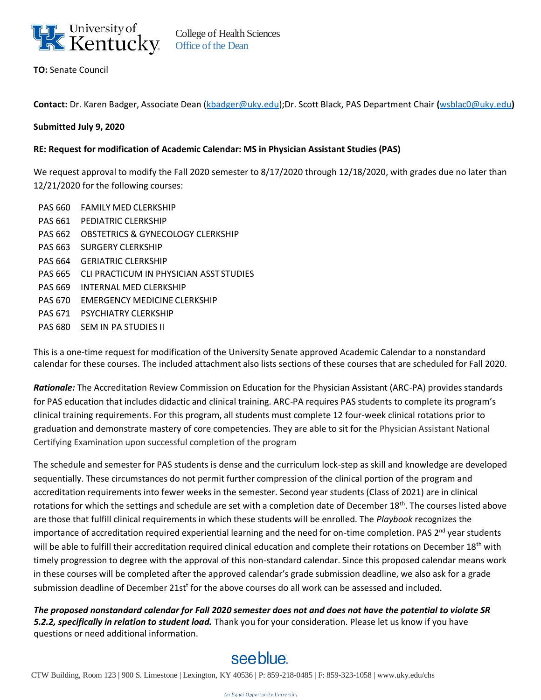

**TO:** Senate Council

**Contact:** Dr. Karen Badger, Associate Dean [\(kbadger@uky.edu\)](mailto:kbadger@uky.edu);Dr. Scott Black, PAS Department Chair **(**[wsblac0@uky.edu](mailto:wsblac0@uky.edu)**)**

## **Submitted July 9, 2020**

## **RE: Request for modification of Academic Calendar: MS in Physician Assistant Studies (PAS)**

We request approval to modify the Fall 2020 semester to 8/17/2020 through 12/18/2020, with grades due no later than 12/21/2020 for the following courses:

PAS 660 FAMILY MED CLERKSHIP PAS 661 PEDIATRIC CLERKSHIP PAS 662 OBSTETRICS & GYNECOLOGY CLERKSHIP PAS 663 SURGERY CLERKSHIP PAS 664 GERIATRIC CLERKSHIP PAS 665 CLI PRACTICUM IN PHYSICIAN ASST STUDIES PAS 669 INTERNAL MED CLERKSHIP PAS 670 EMERGENCY MEDICINE CLERKSHIP PAS 671 PSYCHIATRY CLERKSHIP PAS 680 SEM IN PA STUDIES II

This is a one-time request for modification of the University Senate approved Academic Calendar to a nonstandard calendar for these courses. The included attachment also lists sections of these courses that are scheduled for Fall 2020.

*Rationale:* The Accreditation Review Commission on Education for the Physician Assistant (ARC-PA) provides standards for PAS education that includes didactic and clinical training. ARC-PA requires PAS students to complete its program's clinical training requirements. For this program, all students must complete 12 four-week clinical rotations prior to graduation and demonstrate mastery of core competencies. They are able to sit for the Physician Assistant National Certifying Examination upon successful completion of the program

The schedule and semester for PAS students is dense and the curriculum lock-step as skill and knowledge are developed sequentially. These circumstances do not permit further compression of the clinical portion of the program and accreditation requirements into fewer weeks in the semester. Second year students (Class of 2021) are in clinical rotations for which the settings and schedule are set with a completion date of December 18<sup>th</sup>. The courses listed above are those that fulfill clinical requirements in which these students will be enrolled. The *Playbook* recognizes the importance of accreditation required experiential learning and the need for on-time completion. PAS 2<sup>nd</sup> year students will be able to fulfill their accreditation required clinical education and complete their rotations on December 18<sup>th</sup> with timely progression to degree with the approval of this non-standard calendar. Since this proposed calendar means work in these courses will be completed after the approved calendar's grade submission deadline, we also ask for a grade submission deadline of December 21st<sup>t</sup> for the above courses do all work can be assessed and included.

*The proposed nonstandard calendar for Fall 2020 semester does not and does not have the potential to violate SR 5.2.2, specifically in relation to student load.* Thank you for your consideration. Please let us know if you have questions or need additional information.

## see blue.

CTW Building, Room 123 | 900 S. Limestone | Lexington, KY 40536 | P: 859-218-0485 | F: 859-323-1058 | [www.uky.edu/](http://www.uky.edu/)chs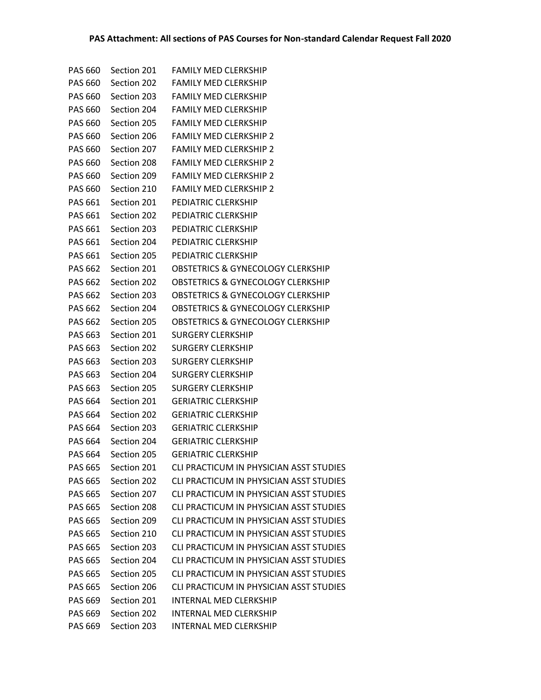| PAS 660        | Section 201 | <b>FAMILY MED CLERKSHIP</b>                  |
|----------------|-------------|----------------------------------------------|
| <b>PAS 660</b> | Section 202 | <b>FAMILY MED CLERKSHIP</b>                  |
| PAS 660        | Section 203 | <b>FAMILY MED CLERKSHIP</b>                  |
| PAS 660        | Section 204 | <b>FAMILY MED CLERKSHIP</b>                  |
| <b>PAS 660</b> | Section 205 | <b>FAMILY MED CLERKSHIP</b>                  |
| <b>PAS 660</b> | Section 206 | <b>FAMILY MED CLERKSHIP 2</b>                |
| <b>PAS 660</b> | Section 207 | <b>FAMILY MED CLERKSHIP 2</b>                |
| PAS 660        | Section 208 | <b>FAMILY MED CLERKSHIP 2</b>                |
| <b>PAS 660</b> | Section 209 | <b>FAMILY MED CLERKSHIP 2</b>                |
| <b>PAS 660</b> | Section 210 | <b>FAMILY MED CLERKSHIP 2</b>                |
| PAS 661        | Section 201 | PEDIATRIC CLERKSHIP                          |
| PAS 661        | Section 202 | PEDIATRIC CLERKSHIP                          |
| PAS 661        | Section 203 | PEDIATRIC CLERKSHIP                          |
| PAS 661        | Section 204 | PEDIATRIC CLERKSHIP                          |
| PAS 661        | Section 205 | PEDIATRIC CLERKSHIP                          |
| <b>PAS 662</b> | Section 201 | <b>OBSTETRICS &amp; GYNECOLOGY CLERKSHIP</b> |
| PAS 662        | Section 202 | <b>OBSTETRICS &amp; GYNECOLOGY CLERKSHIP</b> |
| <b>PAS 662</b> | Section 203 | <b>OBSTETRICS &amp; GYNECOLOGY CLERKSHIP</b> |
| PAS 662        | Section 204 | <b>OBSTETRICS &amp; GYNECOLOGY CLERKSHIP</b> |
| <b>PAS 662</b> | Section 205 | <b>OBSTETRICS &amp; GYNECOLOGY CLERKSHIP</b> |
| PAS 663        | Section 201 | <b>SURGERY CLERKSHIP</b>                     |
| PAS 663        | Section 202 | <b>SURGERY CLERKSHIP</b>                     |
| PAS 663        | Section 203 | <b>SURGERY CLERKSHIP</b>                     |
| PAS 663        | Section 204 | <b>SURGERY CLERKSHIP</b>                     |
| PAS 663        | Section 205 | <b>SURGERY CLERKSHIP</b>                     |
| PAS 664        | Section 201 | <b>GERIATRIC CLERKSHIP</b>                   |
| <b>PAS 664</b> | Section 202 | <b>GERIATRIC CLERKSHIP</b>                   |
| PAS 664        | Section 203 | <b>GERIATRIC CLERKSHIP</b>                   |
| <b>PAS 664</b> | Section 204 | <b>GERIATRIC CLERKSHIP</b>                   |
| <b>PAS 664</b> | Section 205 | <b>GERIATRIC CLERKSHIP</b>                   |
| PAS 665        | Section 201 | CLI PRACTICUM IN PHYSICIAN ASST STUDIES      |
| <b>PAS 665</b> | Section 202 | CLI PRACTICUM IN PHYSICIAN ASST STUDIES      |
| <b>PAS 665</b> | Section 207 | CLI PRACTICUM IN PHYSICIAN ASST STUDIES      |
| <b>PAS 665</b> | Section 208 | CLI PRACTICUM IN PHYSICIAN ASST STUDIES      |
| PAS 665        | Section 209 | CLI PRACTICUM IN PHYSICIAN ASST STUDIES      |
| <b>PAS 665</b> | Section 210 | CLI PRACTICUM IN PHYSICIAN ASST STUDIES      |
| <b>PAS 665</b> | Section 203 | CLI PRACTICUM IN PHYSICIAN ASST STUDIES      |
| <b>PAS 665</b> | Section 204 | CLI PRACTICUM IN PHYSICIAN ASST STUDIES      |
| <b>PAS 665</b> | Section 205 | CLI PRACTICUM IN PHYSICIAN ASST STUDIES      |
| <b>PAS 665</b> | Section 206 | CLI PRACTICUM IN PHYSICIAN ASST STUDIES      |
| <b>PAS 669</b> | Section 201 | <b>INTERNAL MED CLERKSHIP</b>                |
| PAS 669        | Section 202 | <b>INTERNAL MED CLERKSHIP</b>                |
| PAS 669        | Section 203 | INTERNAL MED CLERKSHIP                       |